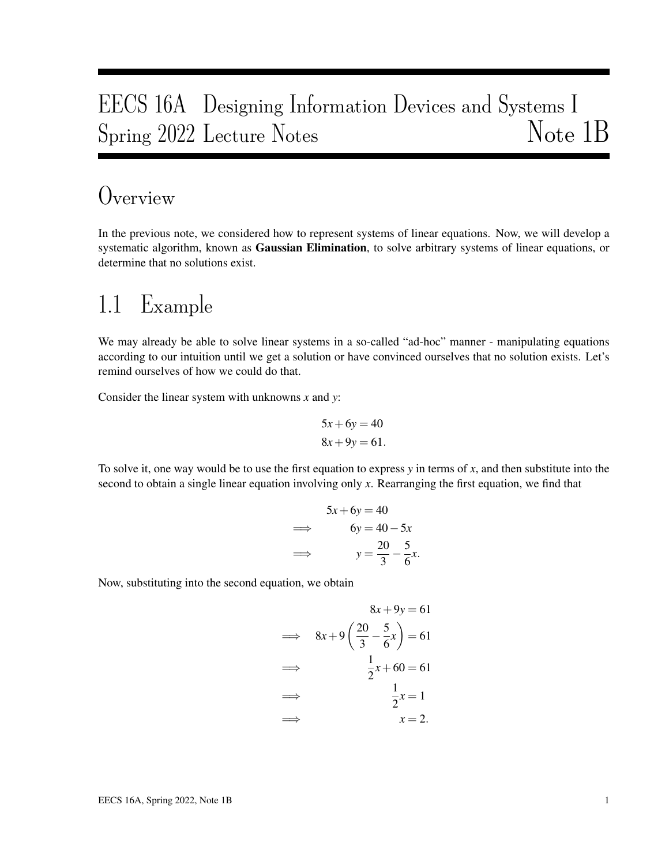# EECS 16A Designing Information Devices and Systems I Spring 2022 Lecture Notes Note 1B

## Overview

In the previous note, we considered how to represent systems of linear equations. Now, we will develop a systematic algorithm, known as **Gaussian Elimination**, to solve arbitrary systems of linear equations, or determine that no solutions exist.

## 1.1 Example

We may already be able to solve linear systems in a so-called "ad-hoc" manner - manipulating equations according to our intuition until we get a solution or have convinced ourselves that no solution exists. Let's remind ourselves of how we could do that.

Consider the linear system with unknowns *x* and *y*:

$$
5x + 6y = 40
$$

$$
8x + 9y = 61.
$$

To solve it, one way would be to use the first equation to express *y* in terms of *x*, and then substitute into the second to obtain a single linear equation involving only *x*. Rearranging the first equation, we find that

$$
5x + 6y = 40
$$
  
\n
$$
\implies \qquad 6y = 40 - 5x
$$
  
\n
$$
\implies \qquad y = \frac{20}{3} - \frac{5}{6}x.
$$

Now, substituting into the second equation, we obtain

$$
8x + 9y = 61
$$
\n
$$
\implies \quad 8x + 9\left(\frac{20}{3} - \frac{5}{6}x\right) = 61
$$
\n
$$
\implies \quad \frac{1}{2}x + 60 = 61
$$
\n
$$
\implies \quad \frac{1}{2}x = 1
$$
\n
$$
\implies \quad x = 2.
$$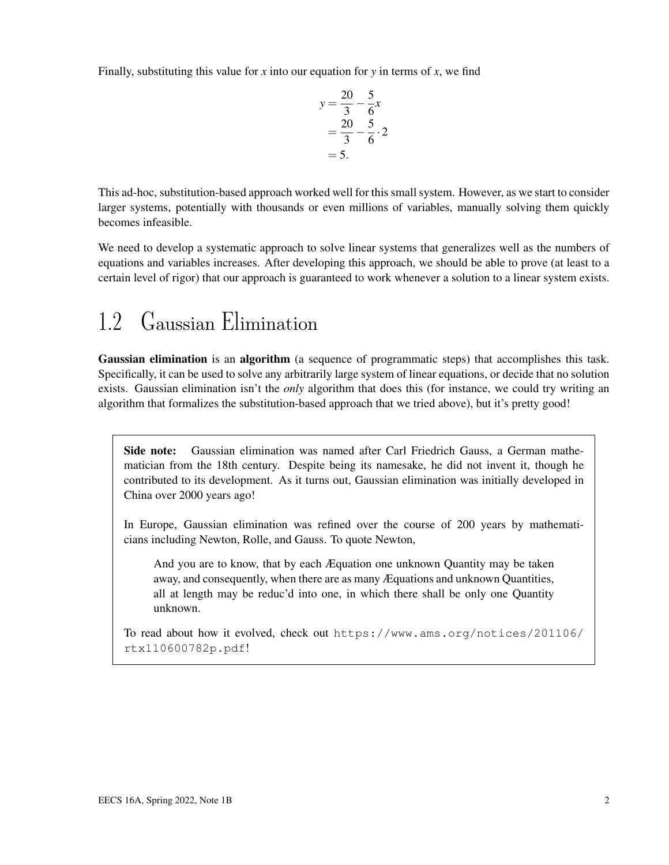Finally, substituting this value for  $x$  into our equation for  $y$  in terms of  $x$ , we find

$$
y = \frac{20}{3} - \frac{5}{6}x
$$
  
=  $\frac{20}{3} - \frac{5}{6} \cdot 2$   
= 5.

This ad-hoc, substitution-based approach worked well for this small system. However, as we start to consider larger systems, potentially with thousands or even millions of variables, manually solving them quickly becomes infeasible.

We need to develop a systematic approach to solve linear systems that generalizes well as the numbers of equations and variables increases. After developing this approach, we should be able to prove (at least to a certain level of rigor) that our approach is guaranteed to work whenever a solution to a linear system exists.

## 1.2 Gaussian Elimination

Gaussian elimination is an algorithm (a sequence of programmatic steps) that accomplishes this task. Specifically, it can be used to solve any arbitrarily large system of linear equations, or decide that no solution exists. Gaussian elimination isn't the *only* algorithm that does this (for instance, we could try writing an algorithm that formalizes the substitution-based approach that we tried above), but it's pretty good!

Side note: Gaussian elimination was named after Carl Friedrich Gauss, a German mathematician from the 18th century. Despite being its namesake, he did not invent it, though he contributed to its development. As it turns out, Gaussian elimination was initially developed in China over 2000 years ago!

In Europe, Gaussian elimination was refined over the course of 200 years by mathematicians including Newton, Rolle, and Gauss. To quote Newton,

And you are to know, that by each Æquation one unknown Quantity may be taken away, and consequently, when there are as many Æquations and unknown Quantities, all at length may be reduc'd into one, in which there shall be only one Quantity unknown.

To read about how it evolved, check out https://www.ams.org/notices/201106/ rtx110600782p.pdf!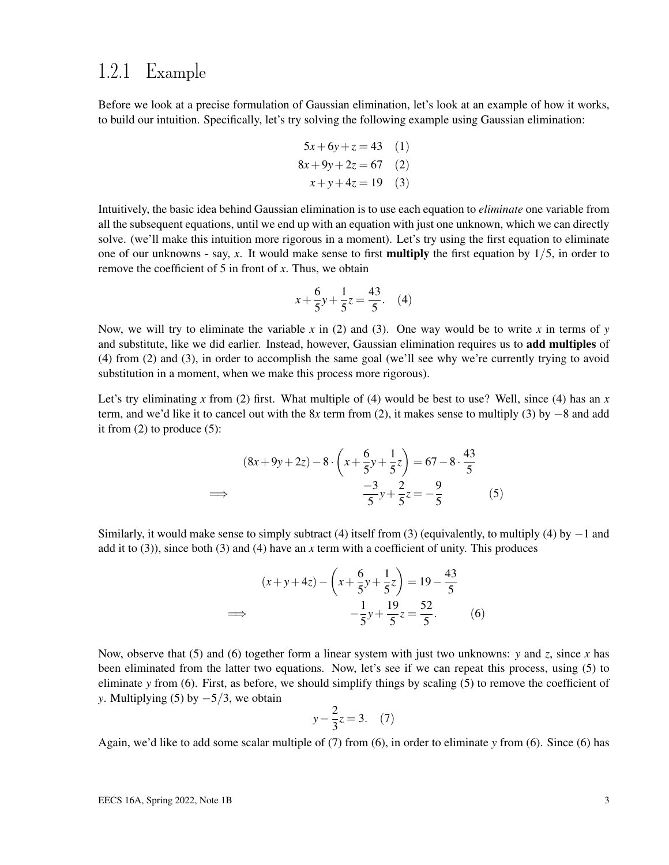### 1.2.1 Example

Before we look at a precise formulation of Gaussian elimination, let's look at an example of how it works, to build our intuition. Specifically, let's try solving the following example using Gaussian elimination:

$$
5x + 6y + z = 43
$$
 (1)  

$$
8x + 9y + 2z = 67
$$
 (2)  

$$
x + y + 4z = 19
$$
 (3)

Intuitively, the basic idea behind Gaussian elimination is to use each equation to *eliminate* one variable from all the subsequent equations, until we end up with an equation with just one unknown, which we can directly solve. (we'll make this intuition more rigorous in a moment). Let's try using the first equation to eliminate one of our unknowns - say,  $x$ . It would make sense to first **multiply** the first equation by  $1/5$ , in order to remove the coefficient of 5 in front of *x*. Thus, we obtain

$$
x + \frac{6}{5}y + \frac{1}{5}z = \frac{43}{5}.
$$
 (4)

Now, we will try to eliminate the variable x in (2) and (3). One way would be to write x in terms of  $y$ and substitute, like we did earlier. Instead, however, Gaussian elimination requires us to **add multiples** of (4) from (2) and (3), in order to accomplish the same goal (we'll see why we're currently trying to avoid substitution in a moment, when we make this process more rigorous).

Let's try eliminating x from (2) first. What multiple of (4) would be best to use? Well, since (4) has an x term, and we'd like it to cancel out with the 8*x* term from (2), it makes sense to multiply (3) by −8 and add it from  $(2)$  to produce  $(5)$ :

$$
(8x + 9y + 2z) - 8 \cdot \left(x + \frac{6}{5}y + \frac{1}{5}z\right) = 67 - 8 \cdot \frac{43}{5}
$$
  

$$
\implies \frac{-3}{5}y + \frac{2}{5}z = -\frac{9}{5}
$$
(5)

Similarly, it would make sense to simply subtract (4) itself from (3) (equivalently, to multiply (4) by  $-1$  and add it to (3)), since both (3) and (4) have an *x* term with a coefficient of unity. This produces

$$
(x+y+4z) - \left(x + \frac{6}{5}y + \frac{1}{5}z\right) = 19 - \frac{43}{5}
$$
  

$$
\implies -\frac{1}{5}y + \frac{19}{5}z = \frac{52}{5}.
$$
 (6)

Now, observe that (5) and (6) together form a linear system with just two unknowns: *y* and *z*, since *x* has been eliminated from the latter two equations. Now, let's see if we can repeat this process, using (5) to eliminate *y* from (6). First, as before, we should simplify things by scaling (5) to remove the coefficient of *y*. Multiplying (5) by  $-5/3$ , we obtain

$$
y - \frac{2}{3}z = 3. \quad (7)
$$

Again, we'd like to add some scalar multiple of (7) from (6), in order to eliminate *y* from (6). Since (6) has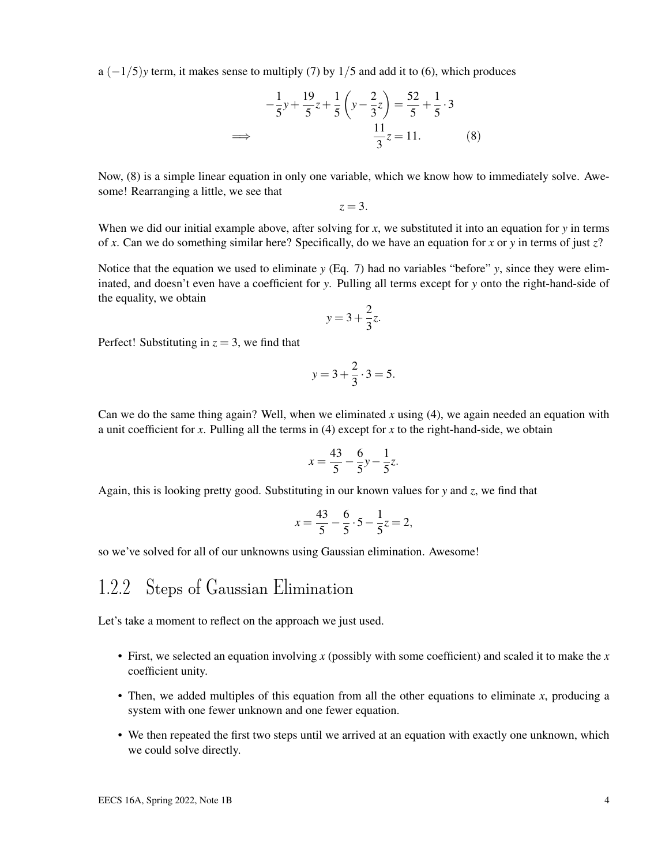$a (-1/5)y$  term, it makes sense to multiply (7) by  $1/5$  and add it to (6), which produces

$$
-\frac{1}{5}y + \frac{19}{5}z + \frac{1}{5}\left(y - \frac{2}{3}z\right) = \frac{52}{5} + \frac{1}{5} \cdot 3
$$
  

$$
\implies \frac{11}{3}z = 11. \tag{8}
$$

Now, (8) is a simple linear equation in only one variable, which we know how to immediately solve. Awesome! Rearranging a little, we see that

$$
z=3.
$$

When we did our initial example above, after solving for *x*, we substituted it into an equation for *y* in terms of *x*. Can we do something similar here? Specifically, do we have an equation for *x* or *y* in terms of just *z*?

Notice that the equation we used to eliminate *y* (Eq. 7) had no variables "before" *y*, since they were eliminated, and doesn't even have a coefficient for *y*. Pulling all terms except for *y* onto the right-hand-side of the equality, we obtain

$$
y = 3 + \frac{2}{3}z.
$$

Perfect! Substituting in  $z = 3$ , we find that

$$
y = 3 + \frac{2}{3} \cdot 3 = 5.
$$

Can we do the same thing again? Well, when we eliminated *x* using (4), we again needed an equation with a unit coefficient for *x*. Pulling all the terms in (4) except for *x* to the right-hand-side, we obtain

$$
x = \frac{43}{5} - \frac{6}{5}y - \frac{1}{5}z.
$$

Again, this is looking pretty good. Substituting in our known values for *y* and *z*, we find that

$$
x = \frac{43}{5} - \frac{6}{5} \cdot 5 - \frac{1}{5}z = 2,
$$

so we've solved for all of our unknowns using Gaussian elimination. Awesome!

### 1.2.2 Steps of Gaussian Elimination

Let's take a moment to reflect on the approach we just used.

- First, we selected an equation involving *x* (possibly with some coefficient) and scaled it to make the *x* coefficient unity.
- Then, we added multiples of this equation from all the other equations to eliminate *x*, producing a system with one fewer unknown and one fewer equation.
- We then repeated the first two steps until we arrived at an equation with exactly one unknown, which we could solve directly.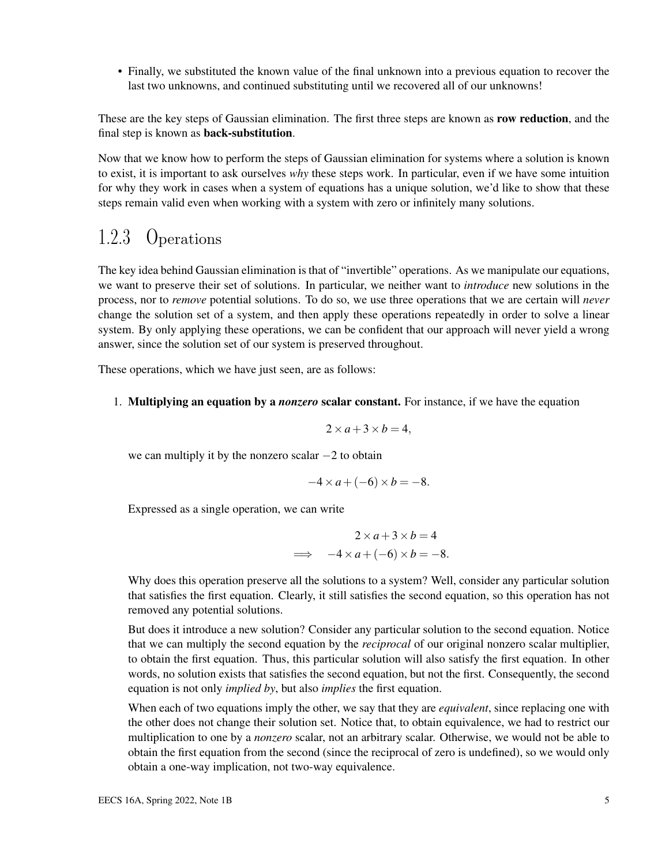• Finally, we substituted the known value of the final unknown into a previous equation to recover the last two unknowns, and continued substituting until we recovered all of our unknowns!

These are the key steps of Gaussian elimination. The first three steps are known as **row reduction**, and the final step is known as back-substitution.

Now that we know how to perform the steps of Gaussian elimination for systems where a solution is known to exist, it is important to ask ourselves *why* these steps work. In particular, even if we have some intuition for why they work in cases when a system of equations has a unique solution, we'd like to show that these steps remain valid even when working with a system with zero or infinitely many solutions.

### 1.2.3 Operations

The key idea behind Gaussian elimination is that of "invertible" operations. As we manipulate our equations, we want to preserve their set of solutions. In particular, we neither want to *introduce* new solutions in the process, nor to *remove* potential solutions. To do so, we use three operations that we are certain will *never* change the solution set of a system, and then apply these operations repeatedly in order to solve a linear system. By only applying these operations, we can be confident that our approach will never yield a wrong answer, since the solution set of our system is preserved throughout.

These operations, which we have just seen, are as follows:

1. Multiplying an equation by a *nonzero* scalar constant. For instance, if we have the equation

$$
2 \times a + 3 \times b = 4,
$$

we can multiply it by the nonzero scalar −2 to obtain

$$
-4 \times a + (-6) \times b = -8.
$$

Expressed as a single operation, we can write

$$
2 \times a + 3 \times b = 4
$$
  

$$
\implies -4 \times a + (-6) \times b = -8.
$$

Why does this operation preserve all the solutions to a system? Well, consider any particular solution that satisfies the first equation. Clearly, it still satisfies the second equation, so this operation has not removed any potential solutions.

But does it introduce a new solution? Consider any particular solution to the second equation. Notice that we can multiply the second equation by the *reciprocal* of our original nonzero scalar multiplier, to obtain the first equation. Thus, this particular solution will also satisfy the first equation. In other words, no solution exists that satisfies the second equation, but not the first. Consequently, the second equation is not only *implied by*, but also *implies* the first equation.

When each of two equations imply the other, we say that they are *equivalent*, since replacing one with the other does not change their solution set. Notice that, to obtain equivalence, we had to restrict our multiplication to one by a *nonzero* scalar, not an arbitrary scalar. Otherwise, we would not be able to obtain the first equation from the second (since the reciprocal of zero is undefined), so we would only obtain a one-way implication, not two-way equivalence.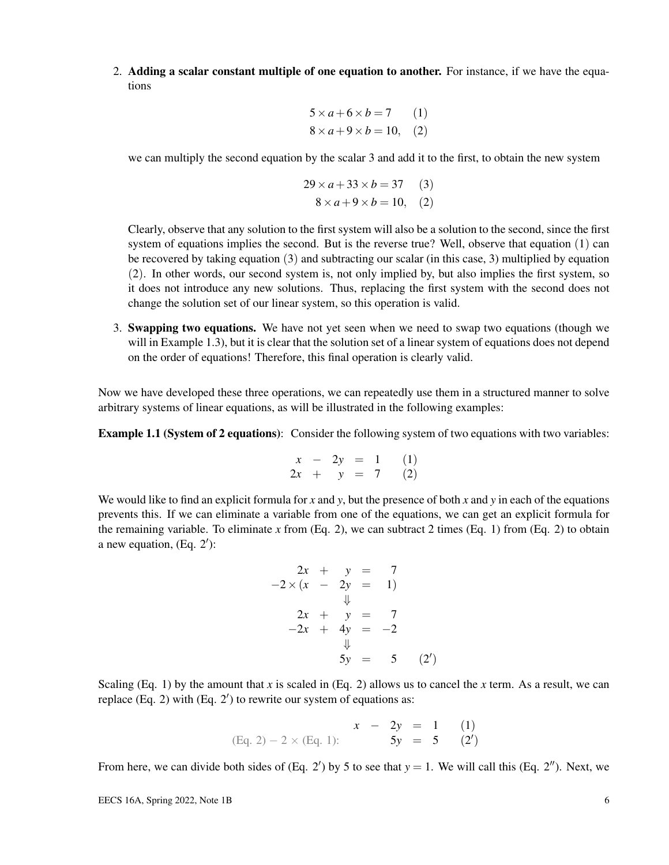2. Adding a scalar constant multiple of one equation to another. For instance, if we have the equations

$$
5 \times a + 6 \times b = 7 \qquad (1)
$$
  

$$
8 \times a + 9 \times b = 10, \quad (2)
$$

we can multiply the second equation by the scalar 3 and add it to the first, to obtain the new system

$$
29 \times a + 33 \times b = 37
$$
 (3)  

$$
8 \times a + 9 \times b = 10,
$$
 (2)

Clearly, observe that any solution to the first system will also be a solution to the second, since the first system of equations implies the second. But is the reverse true? Well, observe that equation (1) can be recovered by taking equation (3) and subtracting our scalar (in this case, 3) multiplied by equation (2). In other words, our second system is, not only implied by, but also implies the first system, so it does not introduce any new solutions. Thus, replacing the first system with the second does not change the solution set of our linear system, so this operation is valid.

3. Swapping two equations. We have not yet seen when we need to swap two equations (though we will in Example 1.3), but it is clear that the solution set of a linear system of equations does not depend on the order of equations! Therefore, this final operation is clearly valid.

Now we have developed these three operations, we can repeatedly use them in a structured manner to solve arbitrary systems of linear equations, as will be illustrated in the following examples:

**Example 1.1 (System of 2 equations):** Consider the following system of two equations with two variables:

$$
\begin{array}{rcl}\nx & - & 2y & = & 1 & (1) \\
2x & + & y & = & 7 & (2)\n\end{array}
$$

We would like to find an explicit formula for x and  $y$ , but the presence of both x and  $y$  in each of the equations prevents this. If we can eliminate a variable from one of the equations, we can get an explicit formula for the remaining variable. To eliminate x from  $(Eq. 2)$ , we can subtract 2 times  $(Eq. 1)$  from  $(Eq. 2)$  to obtain a new equation,  $(Eq. 2')$ :

$$
2x + y = 7 \n-2 \times (x - 2y = 1) \n\downarrow \n2x + y = 7 \n-2x + 4y = -2 \n\downarrow \n5y = 5 (2')
$$

Scaling (Eq. 1) by the amount that *x* is scaled in (Eq. 2) allows us to cancel the *x* term. As a result, we can replace  $(Eq. 2)$  with  $(Eq. 2')$  to rewrite our system of equations as:

$$
x - 2y = 1
$$
 (1)  
(Eq. 2) - 2 × (Eq. 1):  

$$
5y = 5
$$
 (2')

From here, we can divide both sides of  $(Eq. 2')$  by 5 to see that  $y = 1$ . We will call this  $(Eq. 2'')$ . Next, we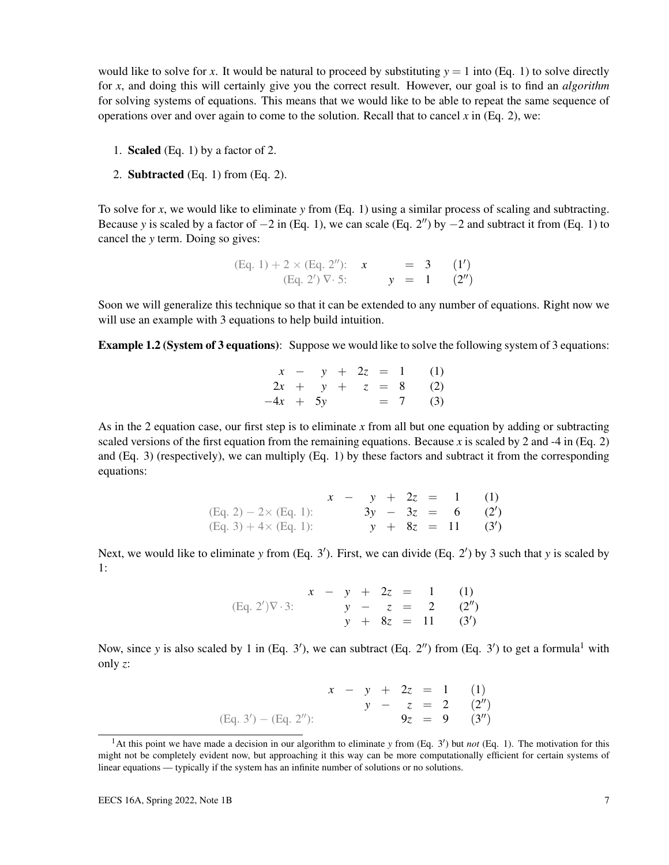would like to solve for x. It would be natural to proceed by substituting  $y = 1$  into (Eq. 1) to solve directly for *x*, and doing this will certainly give you the correct result. However, our goal is to find an *algorithm* for solving systems of equations. This means that we would like to be able to repeat the same sequence of operations over and over again to come to the solution. Recall that to cancel  $x$  in (Eq. 2), we:

- 1. Scaled (Eq. 1) by a factor of 2.
- 2. Subtracted (Eq. 1) from (Eq. 2).

To solve for *x*, we would like to eliminate *y* from (Eq. 1) using a similar process of scaling and subtracting. Because y is scaled by a factor of  $-2$  in (Eq. 1), we can scale (Eq. 2<sup>*n*</sup>) by  $-2$  and subtract it from (Eq. 1) to cancel the *y* term. Doing so gives:

(Eq. 1) + 2 × (Eq. 2''): 
$$
x = 3
$$
 (1')  
\n(Eq. 2')  $\nabla \cdot 5$ :  $y = 1$  (2'')

Soon we will generalize this technique so that it can be extended to any number of equations. Right now we will use an example with 3 equations to help build intuition.

Example 1.2 (System of 3 equations): Suppose we would like to solve the following system of 3 equations:

|            |  |  |  | $x - y + 2z = 1$ (1) |
|------------|--|--|--|----------------------|
|            |  |  |  | $2x + y + z = 8$ (2) |
| $-4x + 5y$ |  |  |  | $= 7$ (3)            |

As in the 2 equation case, our first step is to eliminate *x* from all but one equation by adding or subtracting scaled versions of the first equation from the remaining equations. Because *x* is scaled by 2 and -4 in (Eq. 2) and (Eq. 3) (respectively), we can multiply (Eq. 1) by these factors and subtract it from the corresponding equations:

|                               |  |  |  | $x - y + 2z = 1$ (1) |
|-------------------------------|--|--|--|----------------------|
| $(Eq. 2) - 2 \times (Eq. 1):$ |  |  |  | $3y - 3z = 6$ (2')   |
| $(Eq. 3) + 4 \times (Eq. 1):$ |  |  |  | $y + 8z = 11$ (3')   |

Next, we would like to eliminate *y* from (Eq. 3'). First, we can divide (Eq. 2') by 3 such that *y* is scaled by 1:

(Eq. 2')
$$
\nabla \cdot 3
$$
:  
 $\begin{array}{ccc}\nx - y + 2z &= 1 & (1) \\
y - z &= 2 & (2'') \\
y + 8z &= 11 & (3')\n\end{array}$ 

Now, since *y* is also scaled by 1 in (Eq. 3'), we can subtract (Eq. 2") from (Eq. 3') to get a formula<sup>1</sup> with only *z*:

$$
x - y + 2z = 1
$$
 (1)  

$$
y - z = 2
$$
 (2")  

$$
9z = 9
$$
 (3")

<sup>&</sup>lt;sup>1</sup>At this point we have made a decision in our algorithm to eliminate *y* from (Eq. 3') but *not* (Eq. 1). The motivation for this might not be completely evident now, but approaching it this way can be more computationally efficient for certain systems of linear equations — typically if the system has an infinite number of solutions or no solutions.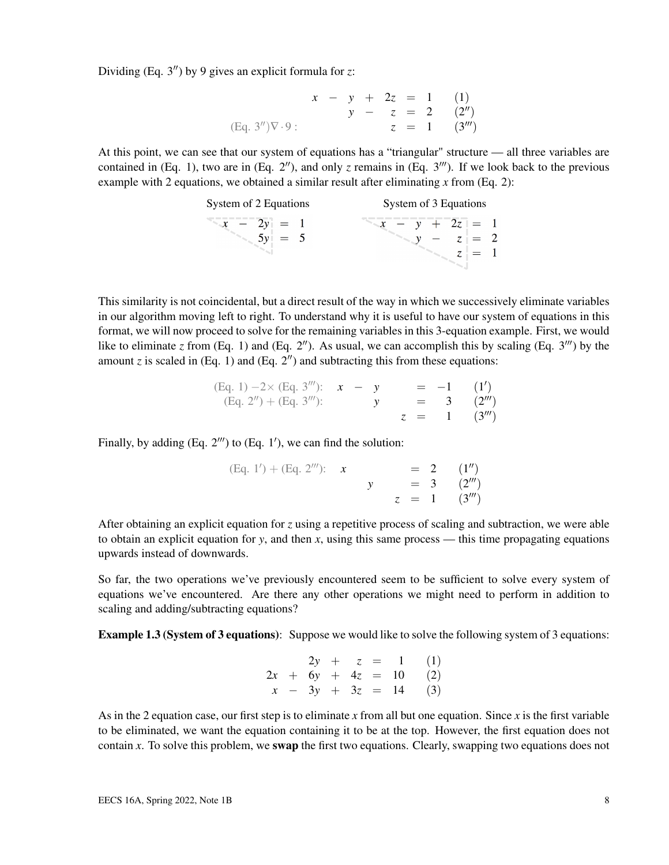Dividing (Eq.  $3''$ ) by 9 gives an explicit formula for *z*:

$$
x - y + 2z = 1 \t(1)
$$
  
\n
$$
y - z = 2 \t(2'')
$$
  
\n(Eq. 3'') $\nabla \cdot 9$ :  
\n
$$
z = 1 \t(3''')
$$

At this point, we can see that our system of equations has a "triangular" structure — all three variables are contained in (Eq. 1), two are in (Eq.  $2''$ ), and only *z* remains in (Eq.  $3'''$ ). If we look back to the previous example with 2 equations, we obtained a similar result after eliminating *x* from (Eq. 2):

| System of 2 Equations | System of 3 Equations |
|-----------------------|-----------------------|
| $-2y = 1$             | $x - y + 2z = 1$      |
| $= 5$                 | $ z  = 2$             |

This similarity is not coincidental, but a direct result of the way in which we successively eliminate variables in our algorithm moving left to right. To understand why it is useful to have our system of equations in this format, we will now proceed to solve for the remaining variables in this 3-equation example. First, we would like to eliminate *z* from (Eq. 1) and (Eq. 2"). As usual, we can accomplish this by scaling (Eq.  $3''$ ) by the amount  $z$  is scaled in (Eq. 1) and (Eq. 2") and subtracting this from these equations:

(Eq. 1) 
$$
-2 \times
$$
 (Eq. 3'')':  $x - y = -1$  (1')  
\n(Eq. 2'') + (Eq. 3'')':  $y = 3$  (2'')  
\n $z = 1$  (3'')

Finally, by adding  $(Eq. 2<sup>'''</sup>)$  to  $(Eq. 1<sup>'</sup>)$ , we can find the solution:

| $(Eq. 1') + (Eq. 2'')$ : x |  |  | $= 2 (1'')$    |
|----------------------------|--|--|----------------|
|                            |  |  | $= 3$ $(2m)$   |
|                            |  |  | $z = 1$ (3''') |

After obtaining an explicit equation for *z* using a repetitive process of scaling and subtraction, we were able to obtain an explicit equation for  $y$ , and then  $x$ , using this same process — this time propagating equations upwards instead of downwards.

So far, the two operations we've previously encountered seem to be sufficient to solve every system of equations we've encountered. Are there any other operations we might need to perform in addition to scaling and adding/subtracting equations?

**Example 1.3 (System of 3 equations):** Suppose we would like to solve the following system of 3 equations:

|  |  |  | $2y + z = 1$ (1)        |
|--|--|--|-------------------------|
|  |  |  | $2x + 6y + 4z = 10$ (2) |
|  |  |  | $x - 3y + 3z = 14$ (3)  |

As in the 2 equation case, our first step is to eliminate *x* from all but one equation. Since *x* is the first variable to be eliminated, we want the equation containing it to be at the top. However, the first equation does not contain *x*. To solve this problem, we swap the first two equations. Clearly, swapping two equations does not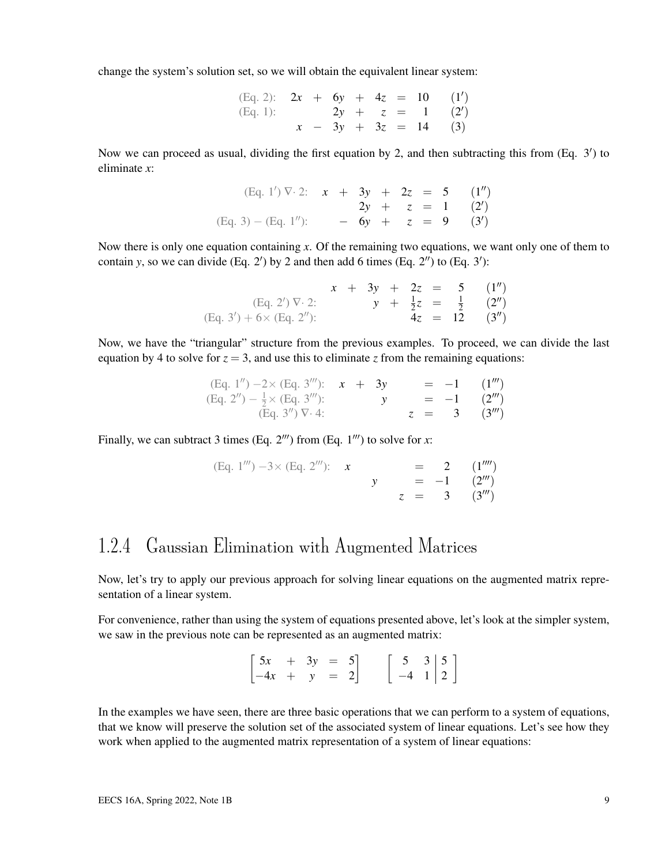change the system's solution set, so we will obtain the equivalent linear system:

| (Eq. 2): $2x + 6y + 4z = 10$ (1') |  |  |  |                        |
|-----------------------------------|--|--|--|------------------------|
| (Eq. 1):                          |  |  |  | $2y + z = 1$ (2')      |
|                                   |  |  |  | $x - 3y + 3z = 14$ (3) |

Now we can proceed as usual, dividing the first equation by 2, and then subtracting this from  $(Eq. 3')$  to eliminate *x*:

(Eq. 1') 
$$
\nabla \cdot 2
$$
:  $x + 3y + 2z = 5$  (1")  
\n $2y + z = 1$  (2')  
\n(Eq. 3) - (Eq. 1"):  $-6y + z = 9$  (3')

Now there is only one equation containing x. Of the remaining two equations, we want only one of them to contain *y*, so we can divide (Eq. 2') by 2 and then add 6 times (Eq. 2") to (Eq. 3'):

|                                   |  |  |  | $x + 3y + 2z = 5$ (1'')               |
|-----------------------------------|--|--|--|---------------------------------------|
| $(Eq. 2') \nabla \cdot 2$ :       |  |  |  | $y + \frac{1}{2}z = \frac{1}{2}$ (2") |
| $(Eq. 3') + 6 \times (Eq. 2'')$ : |  |  |  | $4z = 12$ $(3'')$                     |

Now, we have the "triangular" structure from the previous examples. To proceed, we can divide the last equation by 4 to solve for  $z = 3$ , and use this to eliminate *z* from the remaining equations:

| (Eq. 1'') $-2 \times$ (Eq. 3'''): $x + 3y$ |  |              |  | $= -1$ $(1m)$                    |
|--------------------------------------------|--|--------------|--|----------------------------------|
| (Eq. 2") $-\frac{1}{2} \times$ (Eq. 3""):  |  | $\mathbf{y}$ |  | $= -1$ $(2m)$                    |
| $(Eq. 3'') \nabla 4$ :                     |  |              |  | $z = 3 (3^{\prime\prime\prime})$ |

Finally, we can subtract 3 times (Eq.  $2^{\prime\prime\prime}$ ) from (Eq.  $1^{\prime\prime\prime}$ ) to solve for *x*:

(Eq. 1<sup>*'''*</sup>) -3× (Eq. 2<sup>*'''*</sup>): 
$$
x = 2
$$
 (1<sup>*'''*</sup>)  
 $y = -1$  (2<sup>*'''*</sup>)  
 $z = 3$  (3<sup>*'''*</sup>)

### 1.2.4 Gaussian Elimination with Augmented Matrices

Now, let's try to apply our previous approach for solving linear equations on the augmented matrix representation of a linear system.

For convenience, rather than using the system of equations presented above, let's look at the simpler system, we saw in the previous note can be represented as an augmented matrix:

| $\begin{bmatrix} 5x & + & 3y & = & 5 \end{bmatrix}$ |  |  |                                                                      |  |
|-----------------------------------------------------|--|--|----------------------------------------------------------------------|--|
| $\begin{bmatrix} -4x & + & y & = & 2 \end{bmatrix}$ |  |  | $\left[\begin{array}{cc} 5 & 3 & 5 \\ -4 & 1 & 2 \end{array}\right]$ |  |

In the examples we have seen, there are three basic operations that we can perform to a system of equations, that we know will preserve the solution set of the associated system of linear equations. Let's see how they work when applied to the augmented matrix representation of a system of linear equations: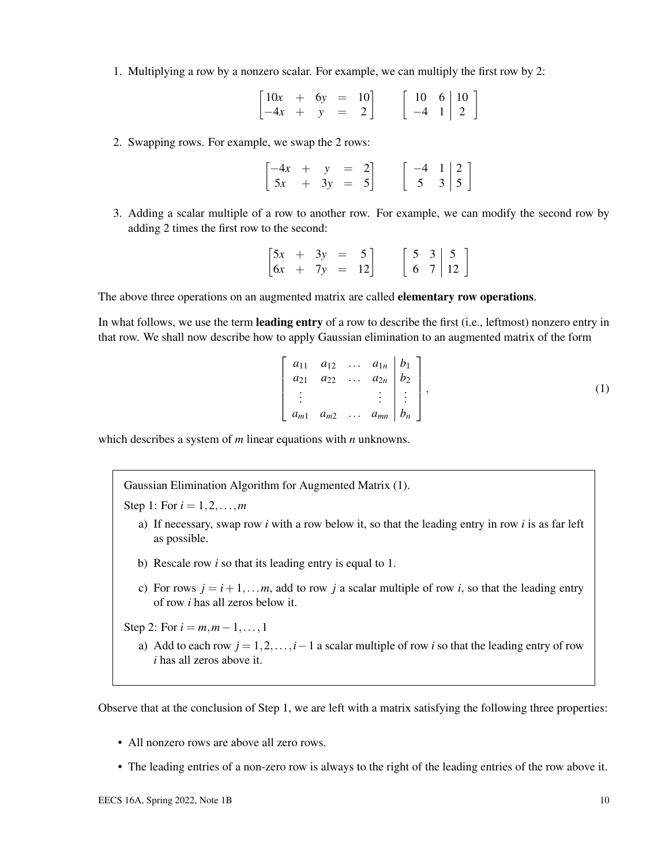1. Multiplying a row by a nonzero scalar. For example, we can multiply the first row by 2:

| $\begin{bmatrix} 10x & + & 6y & = & 10 \end{bmatrix}$ |  |  |  |                                                                         |  |
|-------------------------------------------------------|--|--|--|-------------------------------------------------------------------------|--|
| $\begin{vmatrix} -4x & + & y & = & 2 \end{vmatrix}$   |  |  |  | $\left[\begin{array}{rrr} 10 & 6 & 10 \\ -4 & 1 & 2 \end{array}\right]$ |  |

2. Swapping rows. For example, we swap the 2 rows:

 $\begin{bmatrix} -4x & + & y & = & 2 \end{bmatrix}$  $5x + 3y = 5$  $\begin{bmatrix} -4 & 1 & 2 \end{bmatrix}$ 5  $3 \mid 5$ 1

3. Adding a scalar multiple of a row to another row. For example, we can modify the second row by adding 2 times the first row to the second:

 $\begin{bmatrix} 5x & + & 3y & = & 5 \\ 6x & + & 7y & = & 12 \end{bmatrix} \qquad \begin{bmatrix} 5 & 3 & 5 \\ 6 & 7 & 12 \end{bmatrix}$ 

The above three operations on an augmented matrix are called **elementary row operations.** 

In what follows, we use the term **leading entry** of a row to describe the first (i.e., leftmost) nonzero entry in that row. We shall now describe how to apply Gaussian elimination to an augmented matrix of the form

$$
\begin{bmatrix} a_{11} & a_{12} & \dots & a_{1n} & b_1 \\ a_{21} & a_{22} & \dots & a_{2n} & b_2 \\ \vdots & & & \vdots & \vdots \\ a_{m1} & a_{m2} & \dots & a_{mn} & b_n \end{bmatrix},
$$
 (1)

which describes a system of *m* linear equations with *n* unknowns.

Gaussian Elimination Algorithm for Augmented Matrix (1).

Step 1: For  $i = 1, 2, ..., m$ 

- a) If necessary, swap row *i* with a row below it, so that the leading entry in row *i* is as far left as possible.
- b) Rescale row *i* so that its leading entry is equal to 1.
- c) For rows  $j = i + 1, \ldots, m$ , add to row *j* a scalar multiple of row *i*, so that the leading entry of row *i* has all zeros below it.

Step 2: For  $i = m, m - 1, \ldots, 1$ 

a) Add to each row *j* = 1,2,...,*i*−1 a scalar multiple of row *i* so that the leading entry of row *i* has all zeros above it.

Observe that at the conclusion of Step 1, we are left with a matrix satisfying the following three properties:

- All nonzero rows are above all zero rows.
- The leading entries of a non-zero row is always to the right of the leading entries of the row above it.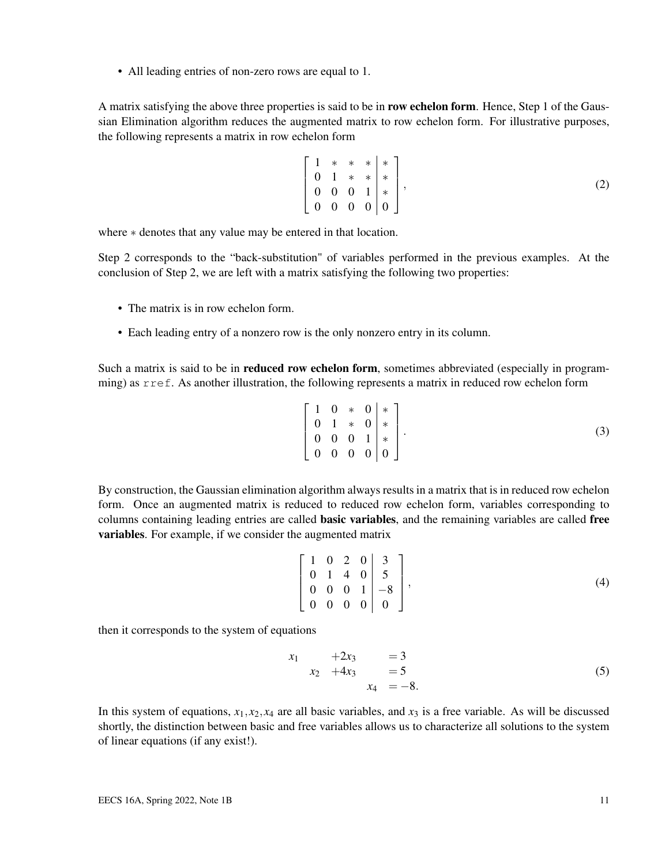• All leading entries of non-zero rows are equal to 1.

A matrix satisfying the above three properties is said to be in row echelon form. Hence, Step 1 of the Gaussian Elimination algorithm reduces the augmented matrix to row echelon form. For illustrative purposes, the following represents a matrix in row echelon form

$$
\left[\begin{array}{ccc|c}\n1 & * & * & * \\
0 & 1 & * & * \\
0 & 0 & 0 & 1 \\
0 & 0 & 0 & 0\n\end{array}\right],\n\tag{2}
$$

where  $*$  denotes that any value may be entered in that location.

Step 2 corresponds to the "back-substitution" of variables performed in the previous examples. At the conclusion of Step 2, we are left with a matrix satisfying the following two properties:

- The matrix is in row echelon form.
- Each leading entry of a nonzero row is the only nonzero entry in its column.

Such a matrix is said to be in **reduced row echelon form**, sometimes abbreviated (especially in programming) as rref. As another illustration, the following represents a matrix in reduced row echelon form

$$
\left[\begin{array}{ccc|c}\n1 & 0 & * & 0 & * \\
0 & 1 & * & 0 & * \\
0 & 0 & 0 & 1 & * \\
0 & 0 & 0 & 0 & 0\n\end{array}\right].
$$
\n(3)

By construction, the Gaussian elimination algorithm always results in a matrix that is in reduced row echelon form. Once an augmented matrix is reduced to reduced row echelon form, variables corresponding to columns containing leading entries are called **basic variables**, and the remaining variables are called free variables. For example, if we consider the augmented matrix

$$
\left[\begin{array}{cccc|c} 1 & 0 & 2 & 0 & 3 \\ 0 & 1 & 4 & 0 & 5 \\ 0 & 0 & 0 & 1 & -8 \\ 0 & 0 & 0 & 0 & 0 \end{array}\right],
$$
\n(4)

then it corresponds to the system of equations

$$
\begin{array}{rcl}\nx_1 & +2x_3 & &=& 3 \\
x_2 & +4x_3 & &=& 5 \\
x_4 & &=& -8.\n\end{array} \tag{5}
$$

In this system of equations,  $x_1, x_2, x_4$  are all basic variables, and  $x_3$  is a free variable. As will be discussed shortly, the distinction between basic and free variables allows us to characterize all solutions to the system of linear equations (if any exist!).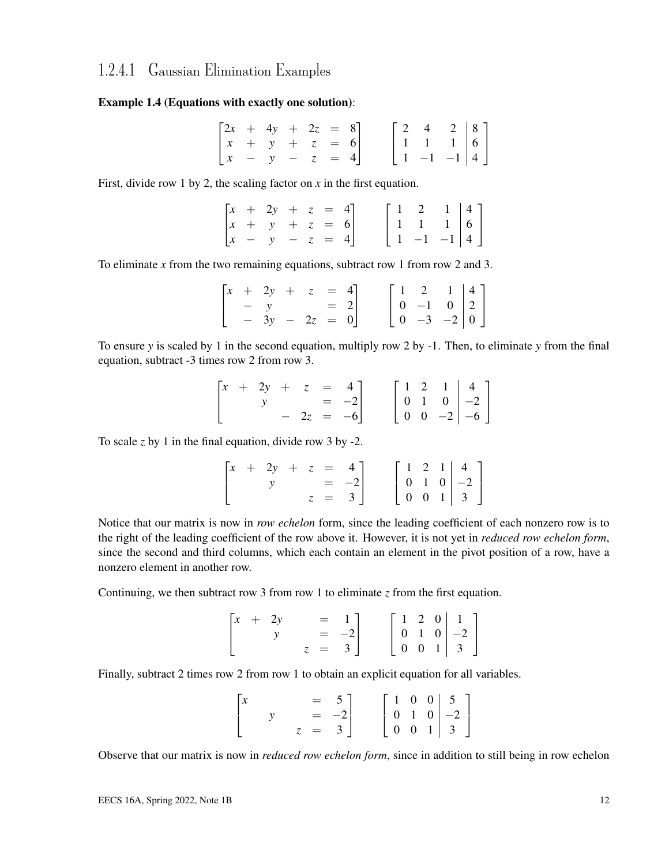### 1.2.4.1 Gaussian Elimination Examples

#### Example 1.4 (Equations with exactly one solution):

|  | $\begin{bmatrix} 2x + 4y + 2z = 8 \end{bmatrix}$          |  |  |  |                                                                                                   |  |
|--|-----------------------------------------------------------|--|--|--|---------------------------------------------------------------------------------------------------|--|
|  | $\begin{vmatrix} x & + & y & + & z & = & 6 \end{vmatrix}$ |  |  |  |                                                                                                   |  |
|  | $\begin{bmatrix} x & - & y & - & z & = & 4 \end{bmatrix}$ |  |  |  | $\left[\begin{array}{ccc c} 2 & 4 & 2 & 8 \\ 1 & 1 & 1 & 6 \\ 1 & -1 & -1 & 4 \end{array}\right]$ |  |

First, divide row 1 by 2, the scaling factor on *x* in the first equation.

|  | $\begin{bmatrix} x & + & 2y & + & z & = & 4 \end{bmatrix}$ |  |  |  |                                                                                                   |  |
|--|------------------------------------------------------------|--|--|--|---------------------------------------------------------------------------------------------------|--|
|  | $ x + y + z = 6 $                                          |  |  |  |                                                                                                   |  |
|  | $\begin{bmatrix} x & - & y & - & z & = & 4 \end{bmatrix}$  |  |  |  | $\left[\begin{array}{ccc c} 1 & 2 & 1 & 4 \\ 1 & 1 & 1 & 6 \\ 1 & -1 & -1 & 4 \end{array}\right]$ |  |

To eliminate *x* from the two remaining equations, subtract row 1 from row 2 and 3.

|  | $\begin{bmatrix} x & + & 2y & + & z & = & 4 \\ & - & y & & = & 2 \end{bmatrix}$ |  |  |  |                                                                                                    |  |
|--|---------------------------------------------------------------------------------|--|--|--|----------------------------------------------------------------------------------------------------|--|
|  |                                                                                 |  |  |  |                                                                                                    |  |
|  | $-3y - 2z = 0$                                                                  |  |  |  | $\left[\begin{array}{ccc c} 1 & 2 & 1 & 4 \\ 0 & -1 & 0 & 2 \\ 0 & -3 & -2 & 0 \end{array}\right]$ |  |

To ensure *y* is scaled by 1 in the second equation, multiply row 2 by -1. Then, to eliminate *y* from the final equation, subtract -3 times row 2 from row 3.

|  |  |  | $\begin{bmatrix} x & + & 2y & + & z & = & 4 \\ y & & & = & -2 \end{bmatrix}$ |  |  |                                                                                                    |  |
|--|--|--|------------------------------------------------------------------------------|--|--|----------------------------------------------------------------------------------------------------|--|
|  |  |  | $-2z = -6$                                                                   |  |  | $\left[\begin{array}{ccc c} 1 & 2 & 1 & 4 \\ 0 & 1 & 0 & -2 \\ 0 & 0 & -2 & -6 \end{array}\right]$ |  |

To scale *z* by 1 in the final equation, divide row 3 by -2.

|  |  |  | $\begin{bmatrix} x & + & 2y & + & z & = & 4 \end{bmatrix}$ |  |  |                                                                                                  |  |
|--|--|--|------------------------------------------------------------|--|--|--------------------------------------------------------------------------------------------------|--|
|  |  |  | $= -2$                                                     |  |  |                                                                                                  |  |
|  |  |  | $z = 3$                                                    |  |  | $\left[\begin{array}{ccc c} 1 & 2 & 1 & 4 \\ 0 & 1 & 0 & -2 \\ 0 & 0 & 1 & 3 \end{array}\right]$ |  |

Notice that our matrix is now in *row echelon* form, since the leading coefficient of each nonzero row is to the right of the leading coefficient of the row above it. However, it is not yet in *reduced row echelon form*, since the second and third columns, which each contain an element in the pivot position of a row, have a nonzero element in another row.

Continuing, we then subtract row 3 from row 1 to eliminate *z* from the first equation.

|  | $\begin{bmatrix} x & + & 2y \end{bmatrix}$ |  | $= 1$ ]  |  |  |                                                                                                  |  |
|--|--------------------------------------------|--|----------|--|--|--------------------------------------------------------------------------------------------------|--|
|  |                                            |  | $=$ $-2$ |  |  |                                                                                                  |  |
|  |                                            |  | $z = 3$  |  |  | $\left[\begin{array}{ccc c} 1 & 2 & 0 & 1 \\ 0 & 1 & 0 & -2 \\ 0 & 0 & 1 & 3 \end{array}\right]$ |  |

Finally, subtract 2 times row 2 from row 1 to obtain an explicit equation for all variables.

|                                        |  | $\begin{bmatrix} 5 \\ -2 \end{bmatrix}$ |  |  |                                                                                                  |  |
|----------------------------------------|--|-----------------------------------------|--|--|--------------------------------------------------------------------------------------------------|--|
| $\begin{bmatrix} x \\ x \end{bmatrix}$ |  | $z = 3$                                 |  |  | $\left[\begin{array}{ccc c} 1 & 0 & 0 & 5 \\ 0 & 1 & 0 & -2 \\ 0 & 0 & 1 & 3 \end{array}\right]$ |  |

Observe that our matrix is now in *reduced row echelon form*, since in addition to still being in row echelon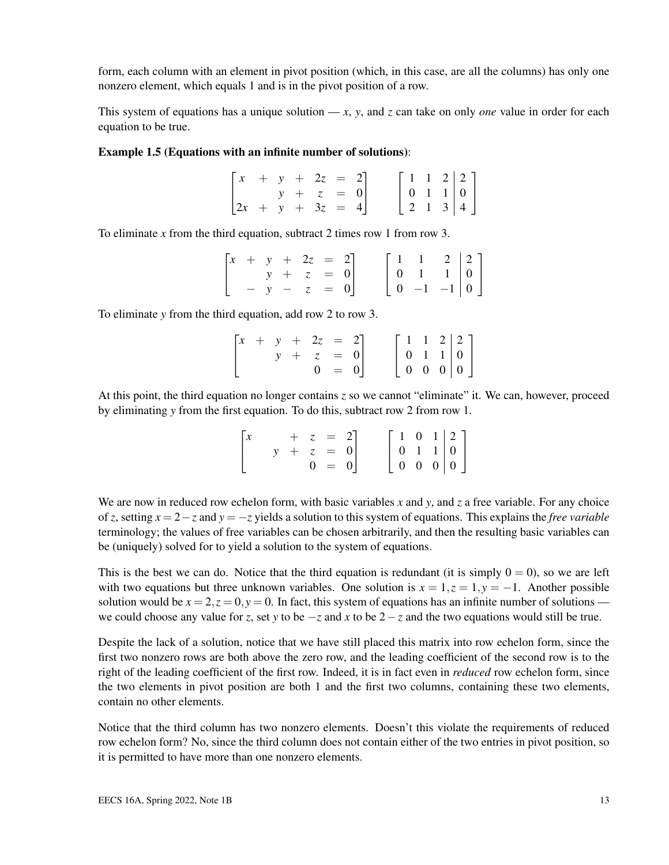form, each column with an element in pivot position (which, in this case, are all the columns) has only one nonzero element, which equals 1 and is in the pivot position of a row.

This system of equations has a unique solution  $-x$ , *y*, and *z* can take on only *one* value in order for each equation to be true.

#### Example 1.5 (Equations with an infinite number of solutions):

| $\begin{bmatrix} x & + & y & + & 2z & = & 2 \end{bmatrix}$ |  |             |  |  |  |                                                                                                 |  |
|------------------------------------------------------------|--|-------------|--|--|--|-------------------------------------------------------------------------------------------------|--|
|                                                            |  | $y + z = 0$ |  |  |  |                                                                                                 |  |
| $\begin{bmatrix} 2x + y + 3z = 4 \end{bmatrix}$            |  |             |  |  |  | $\left[\begin{array}{ccc c} 1 & 1 & 2 & 2 \\ 0 & 1 & 1 & 0 \\ 2 & 1 & 3 & 4 \end{array}\right]$ |  |

To eliminate *x* from the third equation, subtract 2 times row 1 from row 3.

|  |  | $\begin{bmatrix} x & + & y & + & 2z & = & 2 \end{bmatrix}$ |  |  |                                                                                                   |  |  |
|--|--|------------------------------------------------------------|--|--|---------------------------------------------------------------------------------------------------|--|--|
|  |  | $y + z = 0$                                                |  |  |                                                                                                   |  |  |
|  |  | $- y - z = 0$                                              |  |  | $\left[\begin{array}{ccc c} 1 & 1 & 2 & 2 \\ 0 & 1 & 1 & 0 \\ 0 & -1 & -1 & 0 \end{array}\right]$ |  |  |

To eliminate *y* from the third equation, add row 2 to row 3.

|  |  | $\begin{bmatrix} x & + & y & + & 2z & = & 2 \end{bmatrix}$ |         |  |  |                                                                                                 |  |
|--|--|------------------------------------------------------------|---------|--|--|-------------------------------------------------------------------------------------------------|--|
|  |  | $y + z = 0$                                                |         |  |  | $\left[\begin{array}{ccc c} 1 & 1 & 2 & 2 \\ 0 & 1 & 1 & 0 \\ 0 & 0 & 0 & 0 \end{array}\right]$ |  |
|  |  |                                                            | $0 = 0$ |  |  |                                                                                                 |  |

At this point, the third equation no longer contains *z* so we cannot "eliminate" it. We can, however, proceed by eliminating *y* from the first equation. To do this, subtract row 2 from row 1.

| $\lceil x \rceil$ |  | $+ z = 2$   |  |                                                                                                 |  |  |
|-------------------|--|-------------|--|-------------------------------------------------------------------------------------------------|--|--|
|                   |  | $y + z = 0$ |  |                                                                                                 |  |  |
|                   |  | $0 = 0$     |  | $\left[\begin{array}{ccc c} 1 & 0 & 1 & 2 \\ 0 & 1 & 1 & 0 \\ 0 & 0 & 0 & 0 \end{array}\right]$ |  |  |

We are now in reduced row echelon form, with basic variables x and y, and z a free variable. For any choice of *z*, setting  $x = 2 - z$  and  $y = -z$  yields a solution to this system of equations. This explains the *free variable* terminology; the values of free variables can be chosen arbitrarily, and then the resulting basic variables can be (uniquely) solved for to yield a solution to the system of equations.

This is the best we can do. Notice that the third equation is redundant (it is simply  $0 = 0$ ), so we are left with two equations but three unknown variables. One solution is  $x = 1, z = 1, y = -1$ . Another possible solution would be  $x = 2$ ,  $z = 0$ ,  $y = 0$ . In fact, this system of equations has an infinite number of solutions we could choose any value for *z*, set *y* to be −*z* and *x* to be 2−*z* and the two equations would still be true.

Despite the lack of a solution, notice that we have still placed this matrix into row echelon form, since the first two nonzero rows are both above the zero row, and the leading coefficient of the second row is to the right of the leading coefficient of the first row. Indeed, it is in fact even in *reduced* row echelon form, since the two elements in pivot position are both 1 and the first two columns, containing these two elements, contain no other elements.

Notice that the third column has two nonzero elements. Doesn't this violate the requirements of reduced row echelon form? No, since the third column does not contain either of the two entries in pivot position, so it is permitted to have more than one nonzero elements.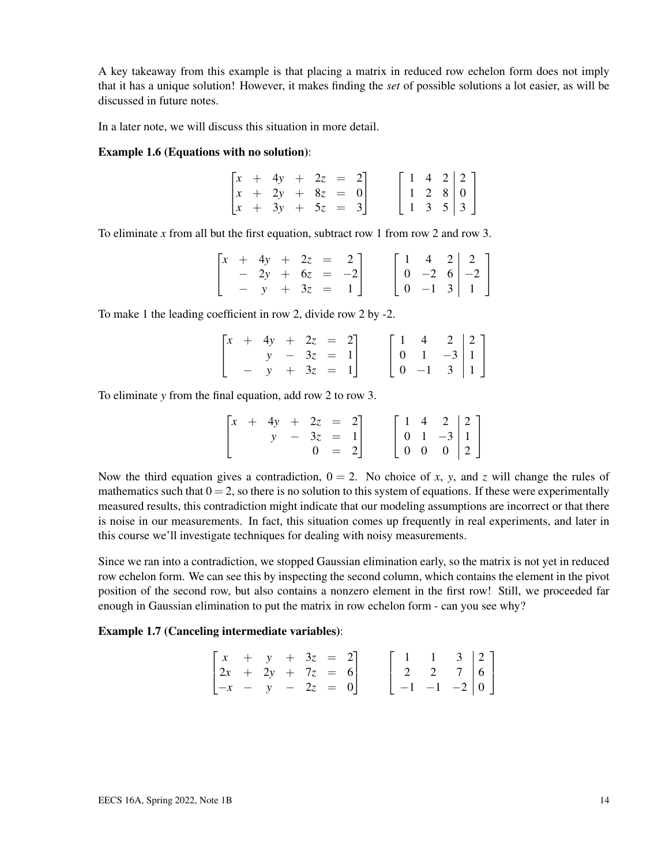A key takeaway from this example is that placing a matrix in reduced row echelon form does not imply that it has a unique solution! However, it makes finding the *set* of possible solutions a lot easier, as will be discussed in future notes.

In a later note, we will discuss this situation in more detail.

#### Example 1.6 (Equations with no solution):

|  | $\begin{bmatrix} x & + & 4y & + & 2z & = & 2 \end{bmatrix}$ |  |  |  |  |                                                                                                 |  |
|--|-------------------------------------------------------------|--|--|--|--|-------------------------------------------------------------------------------------------------|--|
|  | $\begin{vmatrix} x & + & 2y & + & 8z & = & 0 \end{vmatrix}$ |  |  |  |  |                                                                                                 |  |
|  | $\begin{bmatrix} x & + & 3y & + & 5z & = & 3 \end{bmatrix}$ |  |  |  |  | $\left[\begin{array}{ccc c} 1 & 4 & 2 & 2 \\ 1 & 2 & 8 & 0 \\ 1 & 3 & 5 & 3 \end{array}\right]$ |  |

To eliminate *x* from all but the first equation, subtract row 1 from row 2 and row 3.

|  |  |  | $\begin{bmatrix} x & + & 4y & + & 2z & = & 2 \end{bmatrix}$ |  |  |                                                                                                    |  |
|--|--|--|-------------------------------------------------------------|--|--|----------------------------------------------------------------------------------------------------|--|
|  |  |  | $-2y + 6z = -2$                                             |  |  |                                                                                                    |  |
|  |  |  | $- y + 3z = 1$                                              |  |  | $\left[\begin{array}{ccc c} 1 & 4 & 2 & 2 \\ 0 & -2 & 6 & -2 \\ 0 & -1 & 3 & 1 \end{array}\right]$ |  |

To make 1 the leading coefficient in row 2, divide row 2 by -2.

|  | $\begin{bmatrix} x & + & 4y & + & 2z & = & 2 \end{bmatrix}$ |              |  |  |                                                                                   |  |
|--|-------------------------------------------------------------|--------------|--|--|-----------------------------------------------------------------------------------|--|
|  |                                                             | $y - 3z = 1$ |  |  |                                                                                   |  |
|  | $y + 3z = 1$                                                |              |  |  | $\begin{bmatrix} 1 & 4 & 2 & 2 \\ 0 & 1 & -3 & 1 \\ 0 & -1 & 3 & 1 \end{bmatrix}$ |  |

To eliminate *y* from the final equation, add row 2 to row 3.

|  | $\begin{bmatrix} x & + & 4y & + & 2z & = & 2 \end{bmatrix}$ |              |         |  |  |                                                                                                  |  |
|--|-------------------------------------------------------------|--------------|---------|--|--|--------------------------------------------------------------------------------------------------|--|
|  |                                                             | $y - 3z = 1$ |         |  |  |                                                                                                  |  |
|  |                                                             |              | $0 = 2$ |  |  | $\left[\begin{array}{ccc c} 1 & 4 & 2 & 2 \\ 0 & 1 & -3 & 1 \\ 0 & 0 & 0 & 2 \end{array}\right]$ |  |

Now the third equation gives a contradiction,  $0 = 2$ . No choice of *x*, *y*, and *z* will change the rules of mathematics such that  $0 = 2$ , so there is no solution to this system of equations. If these were experimentally measured results, this contradiction might indicate that our modeling assumptions are incorrect or that there is noise in our measurements. In fact, this situation comes up frequently in real experiments, and later in this course we'll investigate techniques for dealing with noisy measurements.

Since we ran into a contradiction, we stopped Gaussian elimination early, so the matrix is not yet in reduced row echelon form. We can see this by inspecting the second column, which contains the element in the pivot position of the second row, but also contains a nonzero element in the first row! Still, we proceeded far enough in Gaussian elimination to put the matrix in row echelon form - can you see why?

#### Example 1.7 (Canceling intermediate variables):

| $\begin{bmatrix} x & + & y & + & 3z & = & 2 \end{bmatrix}$  |  |  |  |  |  |                                                                                                    |  |
|-------------------------------------------------------------|--|--|--|--|--|----------------------------------------------------------------------------------------------------|--|
| $\begin{vmatrix} 2x + 2y + 7z = 6 \end{vmatrix}$            |  |  |  |  |  |                                                                                                    |  |
| $\begin{bmatrix} -x & - & y & - & 2z & = & 0 \end{bmatrix}$ |  |  |  |  |  | $\left[\begin{array}{ccc c} 1 & 1 & 3 & 2 \\ 2 & 2 & 7 & 6 \\ -1 & -1 & -2 & 0 \end{array}\right]$ |  |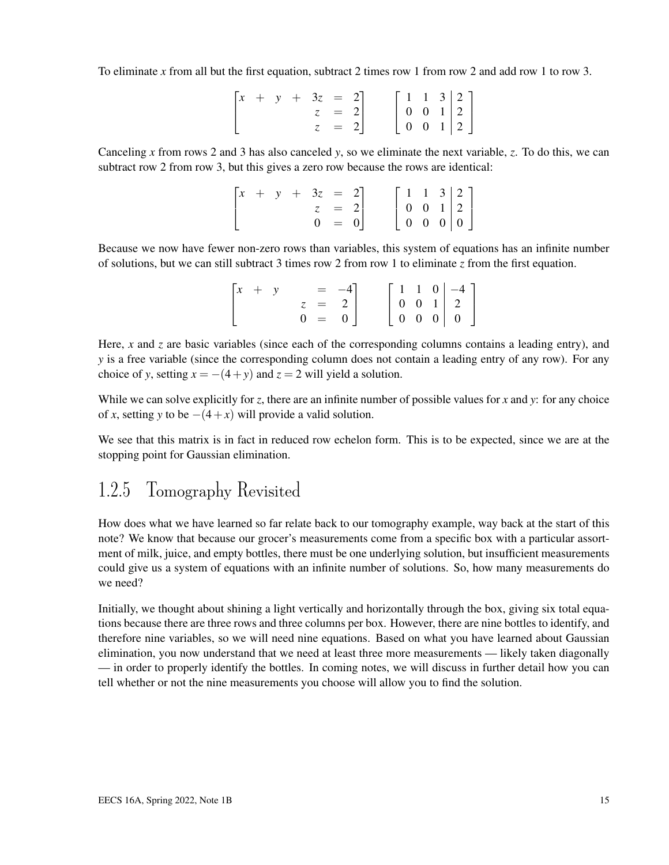To eliminate *x* from all but the first equation, subtract 2 times row 1 from row 2 and add row 1 to row 3.

|  |  | $\begin{bmatrix} x & + & y & + & 3z & = & 2 \end{bmatrix}$ |         |  |  |                                                                                                 |  |
|--|--|------------------------------------------------------------|---------|--|--|-------------------------------------------------------------------------------------------------|--|
|  |  |                                                            | $z = 2$ |  |  |                                                                                                 |  |
|  |  |                                                            | $z = 2$ |  |  | $\left[\begin{array}{ccc c} 1 & 1 & 3 & 2 \\ 0 & 0 & 1 & 2 \\ 0 & 0 & 1 & 2 \end{array}\right]$ |  |

Canceling *x* from rows 2 and 3 has also canceled *y*, so we eliminate the next variable, *z*. To do this, we can subtract row 2 from row 3, but this gives a zero row because the rows are identical:

| $\begin{bmatrix} x & + & y \end{bmatrix}$ |  | $+ 3z = 2$ |         |  | $\left[\begin{array}{ccc c} 1 & 1 & 3 & 2 \\ 0 & 0 & 1 & 2 \\ 0 & 0 & 0 & 0 \end{array}\right]$ |  |  |
|-------------------------------------------|--|------------|---------|--|-------------------------------------------------------------------------------------------------|--|--|
|                                           |  |            | $z = 2$ |  |                                                                                                 |  |  |
|                                           |  |            | $0 = 0$ |  |                                                                                                 |  |  |

Because we now have fewer non-zero rows than variables, this system of equations has an infinite number of solutions, but we can still subtract 3 times row 2 from row 1 to eliminate *z* from the first equation.

| $\begin{bmatrix} x & + & y \end{bmatrix}$ |         | $= -4$ ] |  |  |                                                                                                  |
|-------------------------------------------|---------|----------|--|--|--------------------------------------------------------------------------------------------------|
|                                           | $z = 2$ |          |  |  |                                                                                                  |
|                                           | $0 = 0$ |          |  |  | $\left[\begin{array}{ccc c} 1 & 1 & 0 & -4 \\ 0 & 0 & 1 & 2 \\ 0 & 0 & 0 & 0 \end{array}\right]$ |

Here, *x* and *z* are basic variables (since each of the corresponding columns contains a leading entry), and *y* is a free variable (since the corresponding column does not contain a leading entry of any row). For any choice of *y*, setting  $x = -(4 + y)$  and  $z = 2$  will yield a solution.

While we can solve explicitly for *z*, there are an infinite number of possible values for *x* and *y*: for any choice of *x*, setting *y* to be  $-(4+x)$  will provide a valid solution.

We see that this matrix is in fact in reduced row echelon form. This is to be expected, since we are at the stopping point for Gaussian elimination.

### 1.2.5 Tomography Revisited

How does what we have learned so far relate back to our tomography example, way back at the start of this note? We know that because our grocer's measurements come from a specific box with a particular assortment of milk, juice, and empty bottles, there must be one underlying solution, but insufficient measurements could give us a system of equations with an infinite number of solutions. So, how many measurements do we need?

Initially, we thought about shining a light vertically and horizontally through the box, giving six total equations because there are three rows and three columns per box. However, there are nine bottles to identify, and therefore nine variables, so we will need nine equations. Based on what you have learned about Gaussian elimination, you now understand that we need at least three more measurements — likely taken diagonally — in order to properly identify the bottles. In coming notes, we will discuss in further detail how you can tell whether or not the nine measurements you choose will allow you to find the solution.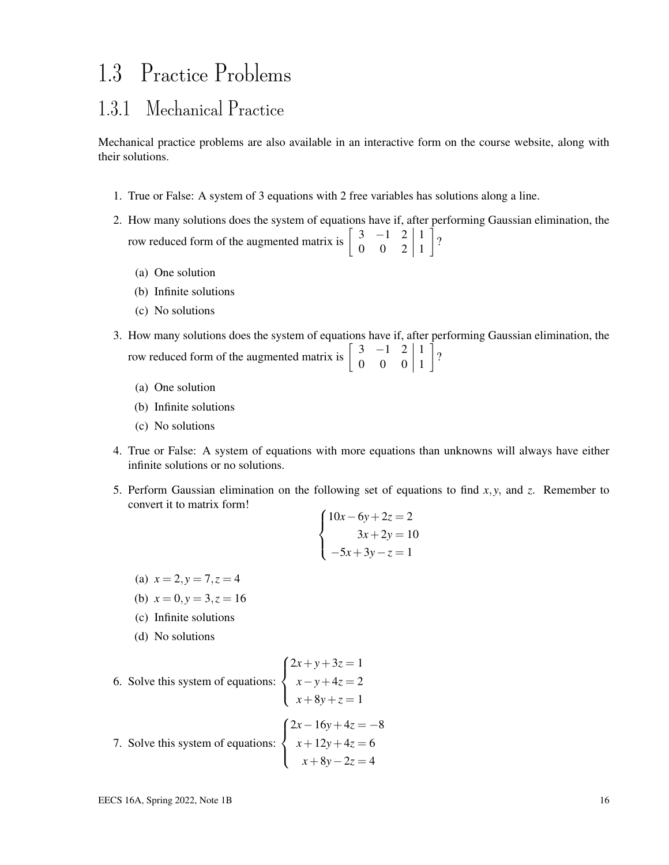## 1.3 Practice Problems

### 1.3.1 Mechanical Practice

Mechanical practice problems are also available in an interactive form on the course website, along with their solutions.

- 1. True or False: A system of 3 equations with 2 free variables has solutions along a line.
- 2. How many solutions does the system of equations have if, after performing Gaussian elimination, the row reduced form of the augmented matrix is  $\begin{bmatrix} 3 & -1 & 2 \\ 0 & 0 & 2 \end{bmatrix}$  $0 \quad 0 \quad 2 \mid 1$  $\rceil$ ?
	- (a) One solution
	- (b) Infinite solutions
	- (c) No solutions
- 3. How many solutions does the system of equations have if, after performing Gaussian elimination, the row reduced form of the augmented matrix is  $\begin{bmatrix} 3 & -1 & 2 \\ 0 & 0 & 0 \end{bmatrix}$  $0 \quad 0 \quad 0 \mid 1$  $\rceil$ ?
	- (a) One solution
	- (b) Infinite solutions
	- (c) No solutions
- 4. True or False: A system of equations with more equations than unknowns will always have either infinite solutions or no solutions.
- 5. Perform Gaussian elimination on the following set of equations to find *x*, *y*, and *z*. Remember to convert it to matrix form!

$$
\begin{cases}\n10x - 6y + 2z = 2 \\
3x + 2y = 10 \\
-5x + 3y - z = 1\n\end{cases}
$$

- (a)  $x = 2, y = 7, z = 4$
- (b)  $x = 0, y = 3, z = 16$
- (c) Infinite solutions
- (d) No solutions

6. Solve this system of equations: 
$$
\begin{cases} 2x + y + 3z = 1 \\ x - y + 4z = 2 \\ x + 8y + z = 1 \end{cases}
$$
  
7. Solve this system of equations: 
$$
\begin{cases} 2x - 16y + 4z = -8 \\ x + 12y + 4z = 6 \\ x + 8y - 2z = 4 \end{cases}
$$